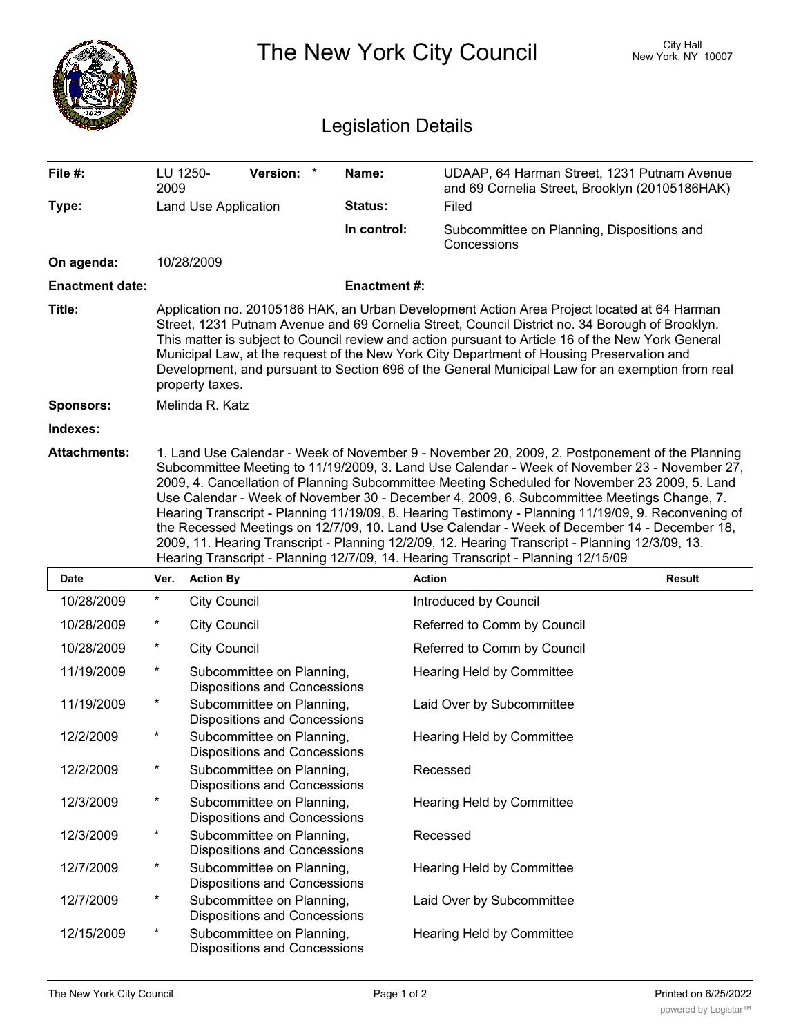|                            |                                                                                                                                                                                                                                                                                                                                                                                                                                                                                                                                                                                                                                                                                                                                                                                                |                                                                  |                    | City Hall<br>The New York City Council<br>New York, NY 10007                                  |  |  |
|----------------------------|------------------------------------------------------------------------------------------------------------------------------------------------------------------------------------------------------------------------------------------------------------------------------------------------------------------------------------------------------------------------------------------------------------------------------------------------------------------------------------------------------------------------------------------------------------------------------------------------------------------------------------------------------------------------------------------------------------------------------------------------------------------------------------------------|------------------------------------------------------------------|--------------------|-----------------------------------------------------------------------------------------------|--|--|
| <b>Legislation Details</b> |                                                                                                                                                                                                                                                                                                                                                                                                                                                                                                                                                                                                                                                                                                                                                                                                |                                                                  |                    |                                                                                               |  |  |
| File #:                    | LU 1250-<br>2009                                                                                                                                                                                                                                                                                                                                                                                                                                                                                                                                                                                                                                                                                                                                                                               | Version: *                                                       | Name:              | UDAAP, 64 Harman Street, 1231 Putnam Avenue<br>and 69 Cornelia Street, Brooklyn (20105186HAK) |  |  |
| Type:                      |                                                                                                                                                                                                                                                                                                                                                                                                                                                                                                                                                                                                                                                                                                                                                                                                | Land Use Application                                             | Status:            | Filed                                                                                         |  |  |
|                            |                                                                                                                                                                                                                                                                                                                                                                                                                                                                                                                                                                                                                                                                                                                                                                                                |                                                                  | In control:        | Subcommittee on Planning, Dispositions and<br>Concessions                                     |  |  |
| On agenda:                 |                                                                                                                                                                                                                                                                                                                                                                                                                                                                                                                                                                                                                                                                                                                                                                                                | 10/28/2009                                                       |                    |                                                                                               |  |  |
| <b>Enactment date:</b>     |                                                                                                                                                                                                                                                                                                                                                                                                                                                                                                                                                                                                                                                                                                                                                                                                |                                                                  | <b>Enactment#:</b> |                                                                                               |  |  |
| Title:                     | Application no. 20105186 HAK, an Urban Development Action Area Project located at 64 Harman<br>Street, 1231 Putnam Avenue and 69 Cornelia Street, Council District no. 34 Borough of Brooklyn.<br>This matter is subject to Council review and action pursuant to Article 16 of the New York General<br>Municipal Law, at the request of the New York City Department of Housing Preservation and<br>Development, and pursuant to Section 696 of the General Municipal Law for an exemption from real<br>property taxes.                                                                                                                                                                                                                                                                       |                                                                  |                    |                                                                                               |  |  |
| <b>Sponsors:</b>           | Melinda R. Katz                                                                                                                                                                                                                                                                                                                                                                                                                                                                                                                                                                                                                                                                                                                                                                                |                                                                  |                    |                                                                                               |  |  |
| Indexes:                   |                                                                                                                                                                                                                                                                                                                                                                                                                                                                                                                                                                                                                                                                                                                                                                                                |                                                                  |                    |                                                                                               |  |  |
| <b>Attachments:</b>        | 1. Land Use Calendar - Week of November 9 - November 20, 2009, 2. Postponement of the Planning<br>Subcommittee Meeting to 11/19/2009, 3. Land Use Calendar - Week of November 23 - November 27,<br>2009, 4. Cancellation of Planning Subcommittee Meeting Scheduled for November 23 2009, 5. Land<br>Use Calendar - Week of November 30 - December 4, 2009, 6. Subcommittee Meetings Change, 7.<br>Hearing Transcript - Planning 11/19/09, 8. Hearing Testimony - Planning 11/19/09, 9. Reconvening of<br>the Recessed Meetings on 12/7/09, 10. Land Use Calendar - Week of December 14 - December 18,<br>2009, 11. Hearing Transcript - Planning 12/2/09, 12. Hearing Transcript - Planning 12/3/09, 13.<br>Hearing Transcript - Planning 12/7/09, 14. Hearing Transcript - Planning 12/15/09 |                                                                  |                    |                                                                                               |  |  |
| Date                       | Ver.                                                                                                                                                                                                                                                                                                                                                                                                                                                                                                                                                                                                                                                                                                                                                                                           | <b>Action By</b>                                                 |                    | <b>Result</b><br><b>Action</b>                                                                |  |  |
| 10/28/2009                 |                                                                                                                                                                                                                                                                                                                                                                                                                                                                                                                                                                                                                                                                                                                                                                                                | <b>City Council</b>                                              |                    | Introduced by Council                                                                         |  |  |
| 10/28/2009                 |                                                                                                                                                                                                                                                                                                                                                                                                                                                                                                                                                                                                                                                                                                                                                                                                | <b>City Council</b>                                              |                    | Referred to Comm by Council                                                                   |  |  |
| 10/28/2009                 | *                                                                                                                                                                                                                                                                                                                                                                                                                                                                                                                                                                                                                                                                                                                                                                                              | <b>City Council</b>                                              |                    | Referred to Comm by Council                                                                   |  |  |
| 11/19/2009                 | *                                                                                                                                                                                                                                                                                                                                                                                                                                                                                                                                                                                                                                                                                                                                                                                              | Subcommittee on Planning,<br><b>Dispositions and Concessions</b> |                    | Hearing Held by Committee                                                                     |  |  |
| 11/19/2009                 | $^\star$                                                                                                                                                                                                                                                                                                                                                                                                                                                                                                                                                                                                                                                                                                                                                                                       | Subcommittee on Planning,<br><b>Dispositions and Concessions</b> |                    | Laid Over by Subcommittee                                                                     |  |  |
| 12/2/2009                  | $^\star$                                                                                                                                                                                                                                                                                                                                                                                                                                                                                                                                                                                                                                                                                                                                                                                       | Subcommittee on Planning,<br><b>Dispositions and Concessions</b> |                    | Hearing Held by Committee                                                                     |  |  |
| 12/2/2009                  | $^\star$                                                                                                                                                                                                                                                                                                                                                                                                                                                                                                                                                                                                                                                                                                                                                                                       | Subcommittee on Planning,<br><b>Dispositions and Concessions</b> |                    | Recessed                                                                                      |  |  |
| 12/3/2009                  | *                                                                                                                                                                                                                                                                                                                                                                                                                                                                                                                                                                                                                                                                                                                                                                                              | Subcommittee on Planning,<br><b>Dispositions and Concessions</b> |                    | Hearing Held by Committee                                                                     |  |  |
| 12/3/2009                  | $^\star$                                                                                                                                                                                                                                                                                                                                                                                                                                                                                                                                                                                                                                                                                                                                                                                       | Subcommittee on Planning,<br><b>Dispositions and Concessions</b> |                    | Recessed                                                                                      |  |  |
| 12/7/2009                  | $^\star$                                                                                                                                                                                                                                                                                                                                                                                                                                                                                                                                                                                                                                                                                                                                                                                       | Subcommittee on Planning,<br>Dispositions and Concessions        |                    | <b>Hearing Held by Committee</b>                                                              |  |  |
| 12/7/2009                  | *                                                                                                                                                                                                                                                                                                                                                                                                                                                                                                                                                                                                                                                                                                                                                                                              | Subcommittee on Planning,<br><b>Dispositions and Concessions</b> |                    | Laid Over by Subcommittee                                                                     |  |  |
| 12/15/2009                 | *                                                                                                                                                                                                                                                                                                                                                                                                                                                                                                                                                                                                                                                                                                                                                                                              | Subcommittee on Planning,<br><b>Dispositions and Concessions</b> |                    | Hearing Held by Committee                                                                     |  |  |